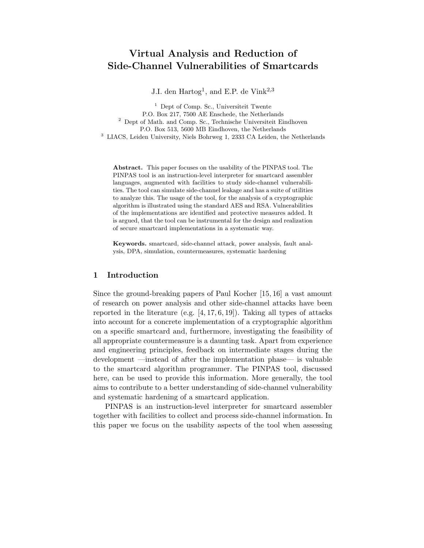# Virtual Analysis and Reduction of Side-Channel Vulnerabilities of Smartcards

J.I. den  $\text{Hartog}^1$ , and E.P. de Vink<sup>2,3</sup>

<sup>1</sup> Dept of Comp. Sc., Universiteit Twente P.O. Box 217, 7500 AE Enschede, the Netherlands <sup>2</sup> Dept of Math. and Comp. Sc., Technische Universiteit Eindhoven P.O. Box 513, 5600 MB Eindhoven, the Netherlands

<sup>3</sup> LIACS, Leiden University, Niels Bohrweg 1, 2333 CA Leiden, the Netherlands

Abstract. This paper focuses on the usability of the PINPAS tool. The PINPAS tool is an instruction-level interpreter for smartcard assembler languages, augmented with facilities to study side-channel vulnerabilities. The tool can simulate side-channel leakage and has a suite of utilities to analyze this. The usage of the tool, for the analysis of a cryptographic algorithm is illustrated using the standard AES and RSA. Vulnerabilities of the implementations are identified and protective measures added. It is argued, that the tool can be instrumental for the design and realization of secure smartcard implementations in a systematic way.

Keywords. smartcard, side-channel attack, power analysis, fault analysis, DPA, simulation, countermeasures, systematic hardening

### 1 Introduction

Since the ground-breaking papers of Paul Kocher [15, 16] a vast amount of research on power analysis and other side-channel attacks have been reported in the literature (e.g.  $[4, 17, 6, 19]$ ). Taking all types of attacks into account for a concrete implementation of a cryptographic algorithm on a specific smartcard and, furthermore, investigating the feasibility of all appropriate countermeasure is a daunting task. Apart from experience and engineering principles, feedback on intermediate stages during the development —instead of after the implementation phase— is valuable to the smartcard algorithm programmer. The PINPAS tool, discussed here, can be used to provide this information. More generally, the tool aims to contribute to a better understanding of side-channel vulnerability and systematic hardening of a smartcard application.

PINPAS is an instruction-level interpreter for smartcard assembler together with facilities to collect and process side-channel information. In this paper we focus on the usability aspects of the tool when assessing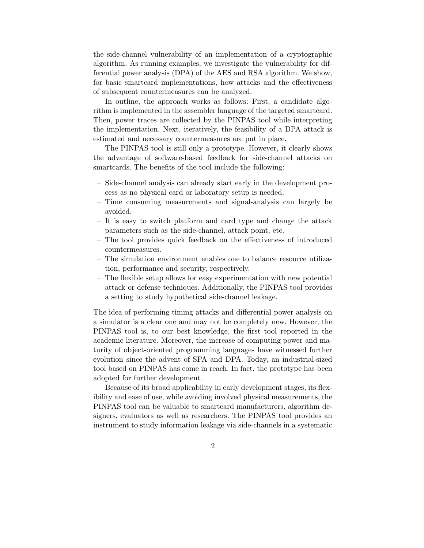the side-channel vulnerability of an implementation of a cryptographic algorithm. As running examples, we investigate the vulnerability for differential power analysis (DPA) of the AES and RSA algorithm. We show, for basic smartcard implementations, how attacks and the effectiveness of subsequent countermeasures can be analyzed.

In outline, the approach works as follows: First, a candidate algorithm is implemented in the assembler language of the targeted smartcard. Then, power traces are collected by the PINPAS tool while interpreting the implementation. Next, iteratively, the feasibility of a DPA attack is estimated and necessary countermeasures are put in place.

The PINPAS tool is still only a prototype. However, it clearly shows the advantage of software-based feedback for side-channel attacks on smartcards. The benefits of the tool include the following:

- Side-channel analysis can already start early in the development process as no physical card or laboratory setup is needed.
- Time consuming measurements and signal-analysis can largely be avoided.
- It is easy to switch platform and card type and change the attack parameters such as the side-channel, attack point, etc.
- The tool provides quick feedback on the effectiveness of introduced countermeasures.
- The simulation environment enables one to balance resource utilization, performance and security, respectively.
- The flexible setup allows for easy experimentation with new potential attack or defense techniques. Additionally, the PINPAS tool provides a setting to study hypothetical side-channel leakage.

The idea of performing timing attacks and differential power analysis on a simulator is a clear one and may not be completely new. However, the PINPAS tool is, to our best knowledge, the first tool reported in the academic literature. Moreover, the increase of computing power and maturity of object-oriented programming languages have witnessed further evolution since the advent of SPA and DPA. Today, an industrial-sized tool based on PINPAS has come in reach. In fact, the prototype has been adopted for further development.

Because of its broad applicability in early development stages, its flexibility and ease of use, while avoiding involved physical measurements, the PINPAS tool can be valuable to smartcard manufacturers, algorithm designers, evaluators as well as researchers. The PINPAS tool provides an instrument to study information leakage via side-channels in a systematic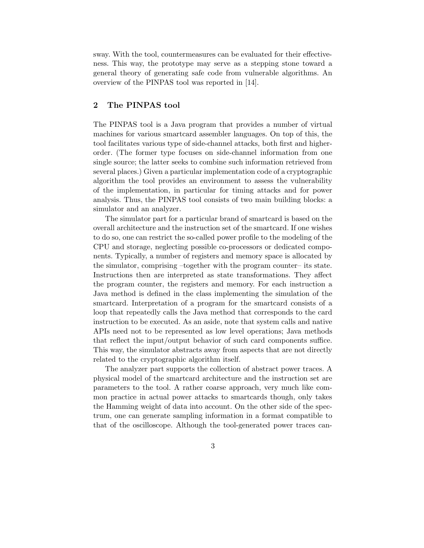sway. With the tool, countermeasures can be evaluated for their effectiveness. This way, the prototype may serve as a stepping stone toward a general theory of generating safe code from vulnerable algorithms. An overview of the PINPAS tool was reported in [14].

# 2 The PINPAS tool

The PINPAS tool is a Java program that provides a number of virtual machines for various smartcard assembler languages. On top of this, the tool facilitates various type of side-channel attacks, both first and higherorder. (The former type focuses on side-channel information from one single source; the latter seeks to combine such information retrieved from several places.) Given a particular implementation code of a cryptographic algorithm the tool provides an environment to assess the vulnerability of the implementation, in particular for timing attacks and for power analysis. Thus, the PINPAS tool consists of two main building blocks: a simulator and an analyzer.

The simulator part for a particular brand of smartcard is based on the overall architecture and the instruction set of the smartcard. If one wishes to do so, one can restrict the so-called power profile to the modeling of the CPU and storage, neglecting possible co-processors or dedicated components. Typically, a number of registers and memory space is allocated by the simulator, comprising –together with the program counter– its state. Instructions then are interpreted as state transformations. They affect the program counter, the registers and memory. For each instruction a Java method is defined in the class implementing the simulation of the smartcard. Interpretation of a program for the smartcard consists of a loop that repeatedly calls the Java method that corresponds to the card instruction to be executed. As an aside, note that system calls and native APIs need not to be represented as low level operations; Java methods that reflect the input/output behavior of such card components suffice. This way, the simulator abstracts away from aspects that are not directly related to the cryptographic algorithm itself.

The analyzer part supports the collection of abstract power traces. A physical model of the smartcard architecture and the instruction set are parameters to the tool. A rather coarse approach, very much like common practice in actual power attacks to smartcards though, only takes the Hamming weight of data into account. On the other side of the spectrum, one can generate sampling information in a format compatible to that of the oscilloscope. Although the tool-generated power traces can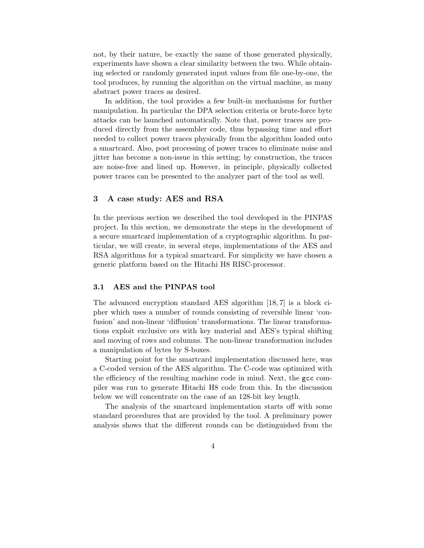not, by their nature, be exactly the same of those generated physically, experiments have shown a clear similarity between the two. While obtaining selected or randomly generated input values from file one-by-one, the tool produces, by running the algorithm on the virtual machine, as many abstract power traces as desired.

In addition, the tool provides a few built-in mechanisms for further manipulation. In particular the DPA selection criteria or brute-force byte attacks can be launched automatically. Note that, power traces are produced directly from the assembler code, thus bypassing time and effort needed to collect power traces physically from the algorithm loaded onto a smartcard. Also, post processing of power traces to eliminate noise and jitter has become a non-issue in this setting; by construction, the traces are noise-free and lined up. However, in principle, physically collected power traces can be presented to the analyzer part of the tool as well.

# 3 A case study: AES and RSA

In the previous section we described the tool developed in the PINPAS project. In this section, we demonstrate the steps in the development of a secure smartcard implementation of a cryptographic algorithm. In particular, we will create, in several steps, implementations of the AES and RSA algorithms for a typical smartcard. For simplicity we have chosen a generic platform based on the Hitachi H8 RISC-processor.

#### 3.1 AES and the PINPAS tool

The advanced encryption standard AES algorithm [18, 7] is a block cipher which uses a number of rounds consisting of reversible linear 'confusion' and non-linear 'diffusion' transformations. The linear transformations exploit exclusive ors with key material and AES's typical shifting and moving of rows and columns. The non-linear transformation includes a manipulation of bytes by S-boxes.

Starting point for the smartcard implementation discussed here, was a C-coded version of the AES algorithm. The C-code was optimized with the efficiency of the resulting machine code in mind. Next, the gcc compiler was run to generate Hitachi H8 code from this. In the discussion below we will concentrate on the case of an 128-bit key length.

The analysis of the smartcard implementation starts off with some standard procedures that are provided by the tool. A preliminary power analysis shows that the different rounds can be distinguished from the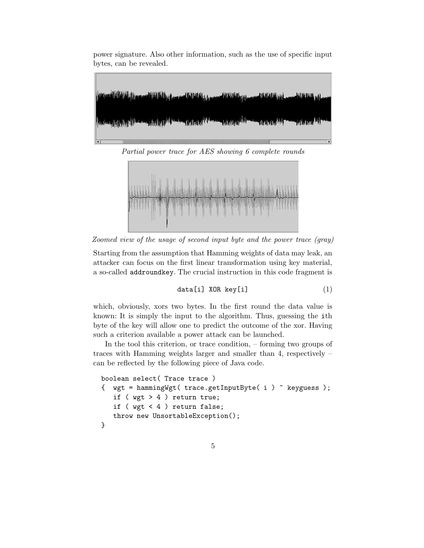power signature. Also other information, such as the use of specific input bytes, can be revealed.



Partial power trace for AES showing 6 complete rounds



Zoomed view of the usage of second input byte and the power trace (gray)

Starting from the assumption that Hamming weights of data may leak, an attacker can focus on the first linear transformation using key material, a so-called addroundkey. The crucial instruction in this code fragment is

$$
data[i] XOR key[i] \qquad (1)
$$

which, obviously, xors two bytes. In the first round the data value is known: It is simply the input to the algorithm. Thus, guessing the ith byte of the key will allow one to predict the outcome of the xor. Having such a criterion available a power attack can be launched.

In the tool this criterion, or trace condition, – forming two groups of traces with Hamming weights larger and smaller than 4, respectively – can be reflected by the following piece of Java code.

```
boolean select( Trace trace )
{ wgt = hammingWgt( trace.getInputByte( i ) ^ keyguess );
   if ( wgt > 4 ) return true;
   if (wgt < 4) return false;
   throw new UnsortableException();
}
```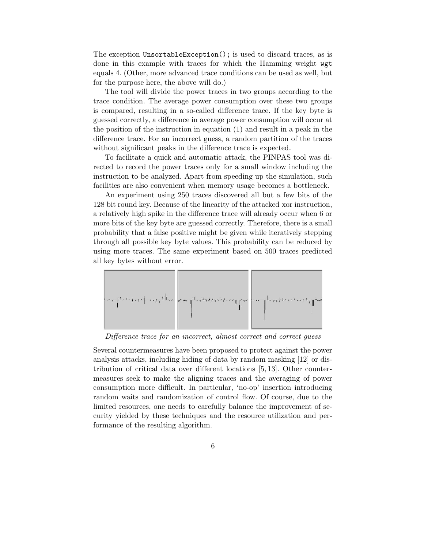The exception UnsortableException(); is used to discard traces, as is done in this example with traces for which the Hamming weight wgt equals 4. (Other, more advanced trace conditions can be used as well, but for the purpose here, the above will do.)

The tool will divide the power traces in two groups according to the trace condition. The average power consumption over these two groups is compared, resulting in a so-called difference trace. If the key byte is guessed correctly, a difference in average power consumption will occur at the position of the instruction in equation (1) and result in a peak in the difference trace. For an incorrect guess, a random partition of the traces without significant peaks in the difference trace is expected.

To facilitate a quick and automatic attack, the PINPAS tool was directed to record the power traces only for a small window including the instruction to be analyzed. Apart from speeding up the simulation, such facilities are also convenient when memory usage becomes a bottleneck.

An experiment using 250 traces discovered all but a few bits of the 128 bit round key. Because of the linearity of the attacked xor instruction, a relatively high spike in the difference trace will already occur when 6 or more bits of the key byte are guessed correctly. Therefore, there is a small probability that a false positive might be given while iteratively stepping through all possible key byte values. This probability can be reduced by using more traces. The same experiment based on 500 traces predicted all key bytes without error.



Difference trace for an incorrect, almost correct and correct guess

Several countermeasures have been proposed to protect against the power analysis attacks, including hiding of data by random masking [12] or distribution of critical data over different locations [5, 13]. Other countermeasures seek to make the aligning traces and the averaging of power consumption more difficult. In particular, 'no-op' insertion introducing random waits and randomization of control flow. Of course, due to the limited resources, one needs to carefully balance the improvement of security yielded by these techniques and the resource utilization and performance of the resulting algorithm.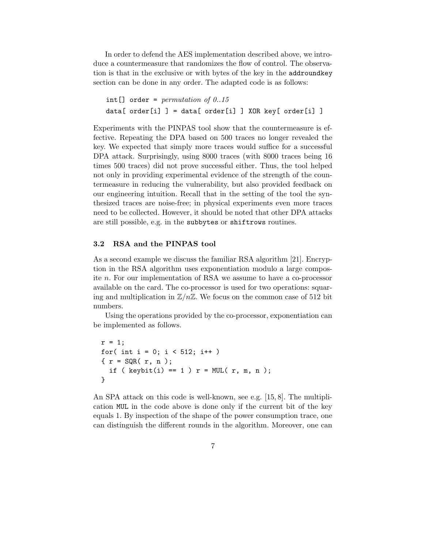In order to defend the AES implementation described above, we introduce a countermeasure that randomizes the flow of control. The observation is that in the exclusive or with bytes of the key in the addroundkey section can be done in any order. The adapted code is as follows:

```
int [] order = permutation of 0.15data[ order[i] ] = data[ order[i] ] XOR key[ order[i] ]
```
Experiments with the PINPAS tool show that the countermeasure is effective. Repeating the DPA based on 500 traces no longer revealed the key. We expected that simply more traces would suffice for a successful DPA attack. Surprisingly, using 8000 traces (with 8000 traces being 16 times 500 traces) did not prove successful either. Thus, the tool helped not only in providing experimental evidence of the strength of the countermeasure in reducing the vulnerability, but also provided feedback on our engineering intuition. Recall that in the setting of the tool the synthesized traces are noise-free; in physical experiments even more traces need to be collected. However, it should be noted that other DPA attacks are still possible, e.g. in the subbytes or shiftrows routines.

# 3.2 RSA and the PINPAS tool

As a second example we discuss the familiar RSA algorithm [21]. Encryption in the RSA algorithm uses exponentiation modulo a large composite n. For our implementation of RSA we assume to have a co-processor available on the card. The co-processor is used for two operations: squaring and multiplication in  $\mathbb{Z}/n\mathbb{Z}$ . We focus on the common case of 512 bit numbers.

Using the operations provided by the co-processor, exponentiation can be implemented as follows.

```
r = 1;for( int i = 0; i < 512; i++)\{ r = SQR(r, n) ;if ( keybit(i) == 1 ) r = MUL( r, m, n);
}
```
An SPA attack on this code is well-known, see e.g. [15, 8]. The multiplication MUL in the code above is done only if the current bit of the key equals 1. By inspection of the shape of the power consumption trace, one can distinguish the different rounds in the algorithm. Moreover, one can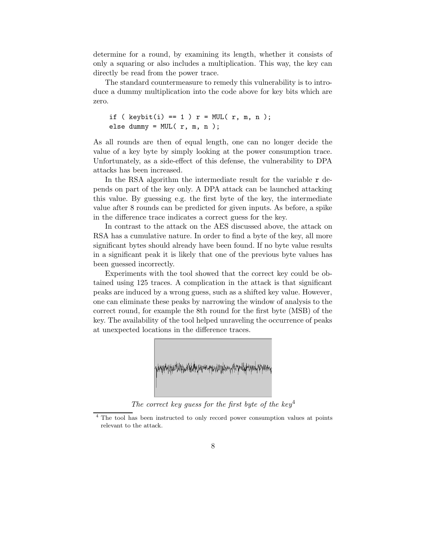determine for a round, by examining its length, whether it consists of only a squaring or also includes a multiplication. This way, the key can directly be read from the power trace.

The standard countermeasure to remedy this vulnerability is to introduce a dummy multiplication into the code above for key bits which are zero.

```
if ( keybit(i) == 1 ) r = MUL(r, m, n);
else dummy = MUL( r, m, n );
```
As all rounds are then of equal length, one can no longer decide the value of a key byte by simply looking at the power consumption trace. Unfortunately, as a side-effect of this defense, the vulnerability to DPA attacks has been increased.

In the RSA algorithm the intermediate result for the variable  $r$  depends on part of the key only. A DPA attack can be launched attacking this value. By guessing e.g. the first byte of the key, the intermediate value after 8 rounds can be predicted for given inputs. As before, a spike in the difference trace indicates a correct guess for the key.

In contrast to the attack on the AES discussed above, the attack on RSA has a cumulative nature. In order to find a byte of the key, all more significant bytes should already have been found. If no byte value results in a significant peak it is likely that one of the previous byte values has been guessed incorrectly.

Experiments with the tool showed that the correct key could be obtained using 125 traces. A complication in the attack is that significant peaks are induced by a wrong guess, such as a shifted key value. However, one can eliminate these peaks by narrowing the window of analysis to the correct round, for example the 8th round for the first byte (MSB) of the key. The availability of the tool helped unraveling the occurrence of peaks at unexpected locations in the difference traces.



The correct key quess for the first byte of the key<sup>4</sup>

<sup>4</sup> The tool has been instructed to only record power consumption values at points relevant to the attack.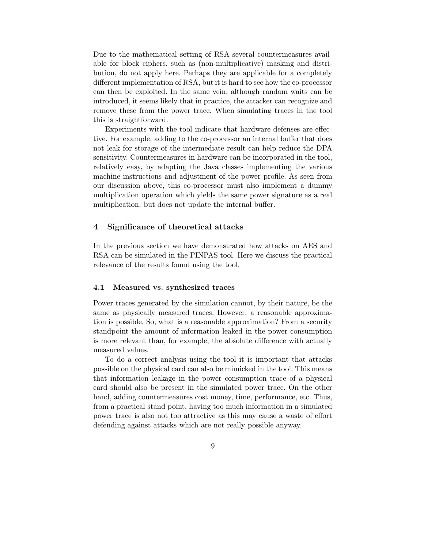Due to the mathematical setting of RSA several countermeasures available for block ciphers, such as (non-multiplicative) masking and distribution, do not apply here. Perhaps they are applicable for a completely different implementation of RSA, but it is hard to see how the co-processor can then be exploited. In the same vein, although random waits can be introduced, it seems likely that in practice, the attacker can recognize and remove these from the power trace. When simulating traces in the tool this is straightforward.

Experiments with the tool indicate that hardware defenses are effective. For example, adding to the co-processor an internal buffer that does not leak for storage of the intermediate result can help reduce the DPA sensitivity. Countermeasures in hardware can be incorporated in the tool, relatively easy, by adapting the Java classes implementing the various machine instructions and adjustment of the power profile. As seen from our discussion above, this co-processor must also implement a dummy multiplication operation which yields the same power signature as a real multiplication, but does not update the internal buffer.

# 4 Significance of theoretical attacks

In the previous section we have demonstrated how attacks on AES and RSA can be simulated in the PINPAS tool. Here we discuss the practical relevance of the results found using the tool.

#### 4.1 Measured vs. synthesized traces

Power traces generated by the simulation cannot, by their nature, be the same as physically measured traces. However, a reasonable approximation is possible. So, what is a reasonable approximation? From a security standpoint the amount of information leaked in the power consumption is more relevant than, for example, the absolute difference with actually measured values.

To do a correct analysis using the tool it is important that attacks possible on the physical card can also be mimicked in the tool. This means that information leakage in the power consumption trace of a physical card should also be present in the simulated power trace. On the other hand, adding countermeasures cost money, time, performance, etc. Thus, from a practical stand point, having too much information in a simulated power trace is also not too attractive as this may cause a waste of effort defending against attacks which are not really possible anyway.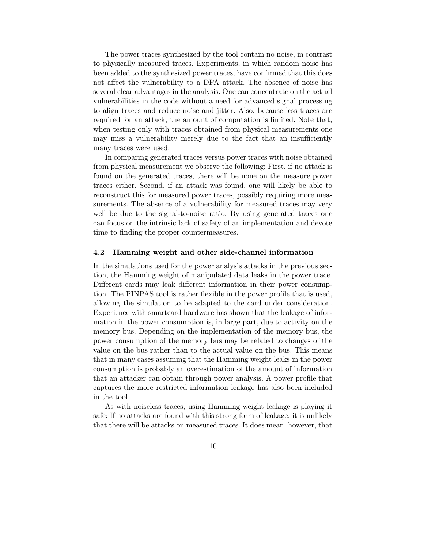The power traces synthesized by the tool contain no noise, in contrast to physically measured traces. Experiments, in which random noise has been added to the synthesized power traces, have confirmed that this does not affect the vulnerability to a DPA attack. The absence of noise has several clear advantages in the analysis. One can concentrate on the actual vulnerabilities in the code without a need for advanced signal processing to align traces and reduce noise and jitter. Also, because less traces are required for an attack, the amount of computation is limited. Note that, when testing only with traces obtained from physical measurements one may miss a vulnerability merely due to the fact that an insufficiently many traces were used.

In comparing generated traces versus power traces with noise obtained from physical measurement we observe the following: First, if no attack is found on the generated traces, there will be none on the measure power traces either. Second, if an attack was found, one will likely be able to reconstruct this for measured power traces, possibly requiring more measurements. The absence of a vulnerability for measured traces may very well be due to the signal-to-noise ratio. By using generated traces one can focus on the intrinsic lack of safety of an implementation and devote time to finding the proper countermeasures.

#### 4.2 Hamming weight and other side-channel information

In the simulations used for the power analysis attacks in the previous section, the Hamming weight of manipulated data leaks in the power trace. Different cards may leak different information in their power consumption. The PINPAS tool is rather flexible in the power profile that is used, allowing the simulation to be adapted to the card under consideration. Experience with smartcard hardware has shown that the leakage of information in the power consumption is, in large part, due to activity on the memory bus. Depending on the implementation of the memory bus, the power consumption of the memory bus may be related to changes of the value on the bus rather than to the actual value on the bus. This means that in many cases assuming that the Hamming weight leaks in the power consumption is probably an overestimation of the amount of information that an attacker can obtain through power analysis. A power profile that captures the more restricted information leakage has also been included in the tool.

As with noiseless traces, using Hamming weight leakage is playing it safe: If no attacks are found with this strong form of leakage, it is unlikely that there will be attacks on measured traces. It does mean, however, that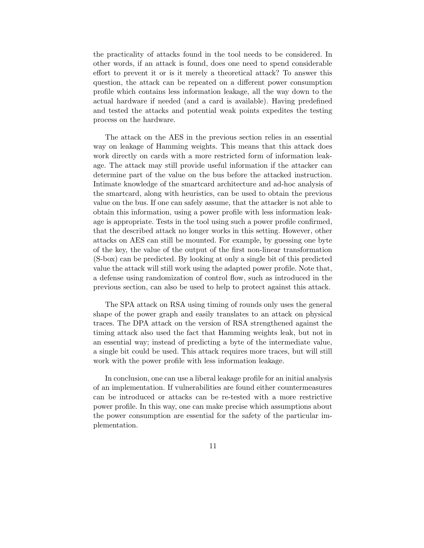the practicality of attacks found in the tool needs to be considered. In other words, if an attack is found, does one need to spend considerable effort to prevent it or is it merely a theoretical attack? To answer this question, the attack can be repeated on a different power consumption profile which contains less information leakage, all the way down to the actual hardware if needed (and a card is available). Having predefined and tested the attacks and potential weak points expedites the testing process on the hardware.

The attack on the AES in the previous section relies in an essential way on leakage of Hamming weights. This means that this attack does work directly on cards with a more restricted form of information leakage. The attack may still provide useful information if the attacker can determine part of the value on the bus before the attacked instruction. Intimate knowledge of the smartcard architecture and ad-hoc analysis of the smartcard, along with heuristics, can be used to obtain the previous value on the bus. If one can safely assume, that the attacker is not able to obtain this information, using a power profile with less information leakage is appropriate. Tests in the tool using such a power profile confirmed, that the described attack no longer works in this setting. However, other attacks on AES can still be mounted. For example, by guessing one byte of the key, the value of the output of the first non-linear transformation (S-box) can be predicted. By looking at only a single bit of this predicted value the attack will still work using the adapted power profile. Note that, a defense using randomization of control flow, such as introduced in the previous section, can also be used to help to protect against this attack.

The SPA attack on RSA using timing of rounds only uses the general shape of the power graph and easily translates to an attack on physical traces. The DPA attack on the version of RSA strengthened against the timing attack also used the fact that Hamming weights leak, but not in an essential way; instead of predicting a byte of the intermediate value, a single bit could be used. This attack requires more traces, but will still work with the power profile with less information leakage.

In conclusion, one can use a liberal leakage profile for an initial analysis of an implementation. If vulnerabilities are found either countermeasures can be introduced or attacks can be re-tested with a more restrictive power profile. In this way, one can make precise which assumptions about the power consumption are essential for the safety of the particular implementation.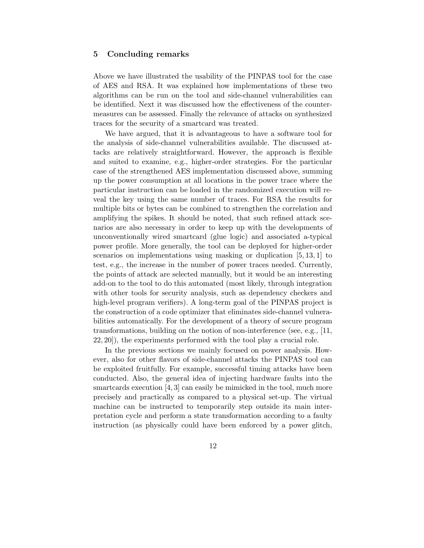#### 5 Concluding remarks

Above we have illustrated the usability of the PINPAS tool for the case of AES and RSA. It was explained how implementations of these two algorithms can be run on the tool and side-channel vulnerabilities can be identified. Next it was discussed how the effectiveness of the countermeasures can be assessed. Finally the relevance of attacks on synthesized traces for the security of a smartcard was treated.

We have argued, that it is advantageous to have a software tool for the analysis of side-channel vulnerabilities available. The discussed attacks are relatively straightforward. However, the approach is flexible and suited to examine, e.g., higher-order strategies. For the particular case of the strengthened AES implementation discussed above, summing up the power consumption at all locations in the power trace where the particular instruction can be loaded in the randomized execution will reveal the key using the same number of traces. For RSA the results for multiple bits or bytes can be combined to strengthen the correlation and amplifying the spikes. It should be noted, that such refined attack scenarios are also necessary in order to keep up with the developments of unconventionally wired smartcard (glue logic) and associated a-typical power profile. More generally, the tool can be deployed for higher-order scenarios on implementations using masking or duplication [5, 13, 1] to test, e.g., the increase in the number of power traces needed. Currently, the points of attack are selected manually, but it would be an interesting add-on to the tool to do this automated (most likely, through integration with other tools for security analysis, such as dependency checkers and high-level program verifiers). A long-term goal of the PINPAS project is the construction of a code optimizer that eliminates side-channel vulnerabilities automatically. For the development of a theory of secure program transformations, building on the notion of non-interference (see, e.g., [11, 22, 20]), the experiments performed with the tool play a crucial role.

In the previous sections we mainly focused on power analysis. However, also for other flavors of side-channel attacks the PINPAS tool can be exploited fruitfully. For example, successful timing attacks have been conducted. Also, the general idea of injecting hardware faults into the smartcards execution [4, 3] can easily be mimicked in the tool, much more precisely and practically as compared to a physical set-up. The virtual machine can be instructed to temporarily step outside its main interpretation cycle and perform a state transformation according to a faulty instruction (as physically could have been enforced by a power glitch,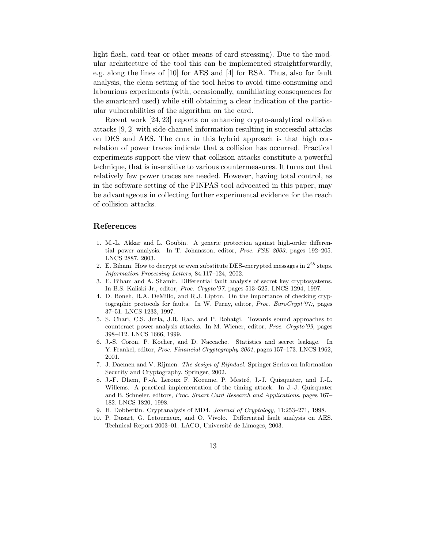light flash, card tear or other means of card stressing). Due to the modular architecture of the tool this can be implemented straightforwardly, e.g. along the lines of [10] for AES and [4] for RSA. Thus, also for fault analysis, the clean setting of the tool helps to avoid time-consuming and labourious experiments (with, occasionally, annihilating consequences for the smartcard used) while still obtaining a clear indication of the particular vulnerabilities of the algorithm on the card.

Recent work [24, 23] reports on enhancing crypto-analytical collision attacks [9, 2] with side-channel information resulting in successful attacks on DES and AES. The crux in this hybrid approach is that high correlation of power traces indicate that a collision has occurred. Practical experiments support the view that collision attacks constitute a powerful technique, that is insensitive to various countermeasures. It turns out that relatively few power traces are needed. However, having total control, as in the software setting of the PINPAS tool advocated in this paper, may be advantageous in collecting further experimental evidence for the reach of collision attacks.

## References

- 1. M.-L. Akkar and L. Goubin. A generic protection against high-order differential power analysis. In T. Johansson, editor, Proc. FSE 2003, pages 192–205. LNCS 2887, 2003.
- 2. E. Biham. How to decrypt or even substitute DES-encrypted messages in  $2^{28}$  steps. Information Processing Letters, 84:117–124, 2002.
- 3. E. Biham and A. Shamir. Differential fault analysis of secret key cryptosystems. In B.S. Kaliski Jr., editor, Proc. Crypto'97, pages 513–525. LNCS 1294, 1997.
- 4. D. Boneh, R.A. DeMillo, and R.J. Lipton. On the importance of checking cryptographic protocols for faults. In W. Furny, editor, Proc. EuroCrypt'97:, pages 37–51. LNCS 1233, 1997.
- 5. S. Chari, C.S. Jutla, J.R. Rao, and P. Rohatgi. Towards sound approaches to counteract power-analysis attacks. In M. Wiener, editor, Proc. Crypto'99, pages 398–412. LNCS 1666, 1999.
- 6. J.-S. Coron, P. Kocher, and D. Naccache. Statistics and secret leakage. In Y. Frankel, editor, Proc. Financial Cryptography 2001, pages 157–173. LNCS 1962, 2001.
- 7. J. Daemen and V. Rijmen. The design of Rijndael. Springer Series on Information Security and Cryptography. Springer, 2002.
- 8. J.-F. Dhem, P.-A. Leroux F. Koeume, P. Mestré, J.-J. Quisquater, and J.-L. Willems. A practical implementation of the timing attack. In J.-J. Quisquater and B. Schneier, editors, Proc. Smart Card Research and Applications, pages 167– 182. LNCS 1820, 1998.
- 9. H. Dobbertin. Cryptanalysis of MD4. Journal of Cryptology, 11:253–271, 1998.
- 10. P. Dusart, G. Letourneux, and O. Vivolo. Differential fault analysis on AES. Technical Report 2003–01, LACO, Université de Limoges, 2003.